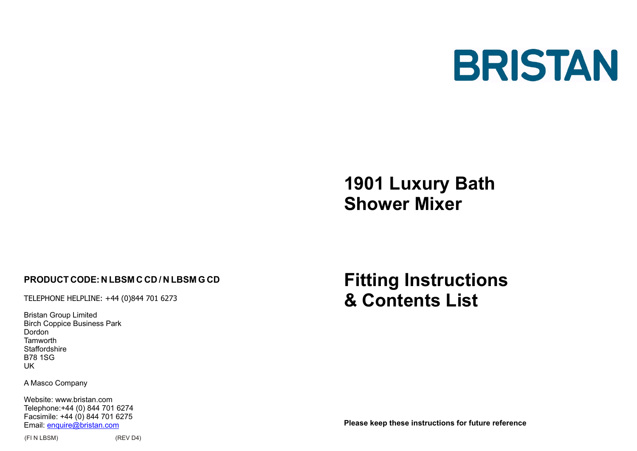

# **1901 Luxury Bath Shower Mixer**

## **PRODUCT CODE:N LBSM C CD / N LBSM G CD**

TELEPHONE HELPLINE: +44 (0)844 701 6273

Bristan Group Limited Birch Coppice Business Park Dordon **Tamworth Staffordshire** B78 1SG UK

A Masco Company

Website: www.bristan.com Telephone:+44 (0) 844 701 6274 Facsimile: +44 (0) 844 701 6275 Email: enquire@bristan.com

**Fitting Instructions & Contents List**

**Please keep these instructions for future reference**

(FI N LBSM) (REV D4)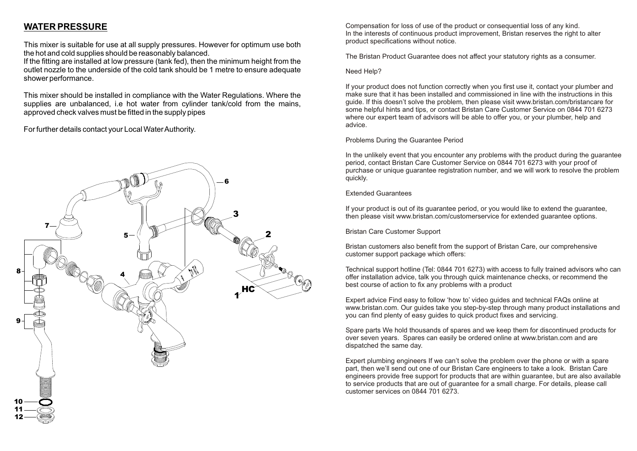## **WATER PRESSURE**

This mixer is suitable for use at all supply pressures. However for optimum use both the hot and cold supplies should be reasonably balanced.

If the fitting are installed at low pressure (tank fed), then the minimum height from the outlet nozzle to the underside of the cold tank should be 1 metre to ensure adequate shower performance.

This mixer should be installed in compliance with the Water Regulations. Where the supplies are unbalanced, i.e hot water from cylinder tank/cold from the mains, approved check valves must be fitted in the supply pipes

For further details contact your Local Water Authority.



Compensation for loss of use of the product or consequential loss of any kind. In the interests of continuous product improvement, Bristan reserves the right to alter product specifications without notice.

The Bristan Product Guarantee does not affect your statutory rights as a consumer.

#### Need Help?

If your product does not function correctly when you first use it, contact your plumber and make sure that it has been installed and commissioned in line with the instructions in this guide. If this doesn't solve the problem, then please visit www.bristan.com/bristancare for some helpful hints and tips, or contact Bristan Care Customer Service on 0844 701 6273 where our expert team of advisors will be able to offer you, or your plumber, help and advice.

## Problems During the Guarantee Period

In the unlikely event that you encounter any problems with the product during the guarantee period, contact Bristan Care Customer Service on 0844 701 6273 with your proof of purchase or unique guarantee registration number, and we will work to resolve the problem quickly.

#### Extended Guarantees

If your product is out of its guarantee period, or you would like to extend the guarantee, then please visit www.bristan.com/customerservice for extended guarantee options.

Bristan Care Customer Support

Bristan customers also benefit from the support of Bristan Care, our comprehensive customer support package which offers:

Technical support hotline (Tel: 0844 701 6273) with access to fully trained advisors who can offer installation advice, talk you through quick maintenance checks, or recommend the best course of action to fix any problems with a product

Expert advice Find easy to follow 'how to' video guides and technical FAQs online at www.bristan.com. Our guides take you step-by-step through many product installations and you can find plenty of easy guides to quick product fixes and servicing.

Spare parts We hold thousands of spares and we keep them for discontinued products for over seven years. Spares can easily be ordered online at www.bristan.com and are dispatched the same day.

Expert plumbing engineers If we can't solve the problem over the phone or with a spare part, then we'll send out one of our Bristan Care engineers to take a look. Bristan Care engineers provide free support for products that are within guarantee, but are also available to service products that are out of guarantee for a small charge. For details, please call customer services on 0844 701 6273.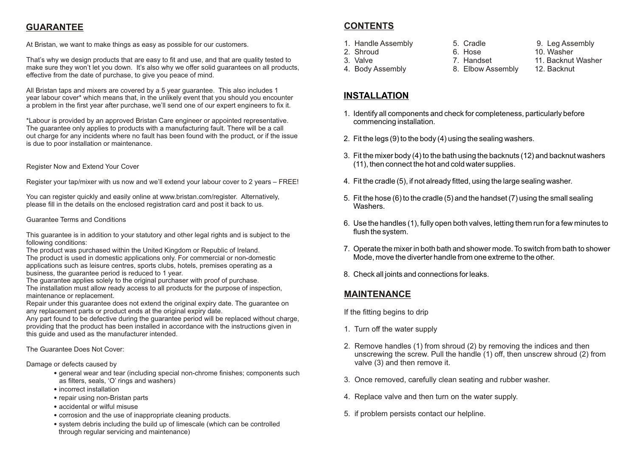# **GUARANTEE**

At Bristan, we want to make things as easy as possible for our customers.

That's why we design products that are easy to fit and use, and that are quality tested to make sure they won't let you down. It's also why we offer solid quarantees on all products, effective from the date of purchase, to give you peace of mind.

All Bristan taps and mixers are covered by a 5 year guarantee. This also includes 1 year labour cover\* which means that, in the unlikely event that you should you encounter a problem in the first year after purchase, we'll send one of our expert engineers to fix it.

\*Labour is provided by an approved Bristan Care engineer or appointed representative. The guarantee only applies to products with a manufacturing fault. There will be a call out charge for any incidents where no fault has been found with the product, or if the issue is due to poor installation or maintenance.

## Register Now and Extend Your Cover

Register your tap/mixer with us now and we'll extend your labour cover to 2 years – FREE!

You can register quickly and easily online at www.bristan.com/register. Alternatively, please fill in the details on the enclosed registration card and post it back to us.

## Guarantee Terms and Conditions

This guarantee is in addition to your statutory and other legal rights and is subject to the following conditions:

The product was purchased within the United Kingdom or Republic of Ireland. The product is used in domestic applications only. For commercial or non-domestic applications such as leisure centres, sports clubs, hotels, premises operating as a business, the guarantee period is reduced to 1 year.

The guarantee applies solely to the original purchaser with proof of purchase. The installation must allow ready access to all products for the purpose of inspection, maintenance or replacement.

Repair under this guarantee does not extend the original expiry date. The guarantee on any replacement parts or product ends at the original expiry date.

Any part found to be defective during the guarantee period will be replaced without charge, providing that the product has been installed in accordance with the instructions given in this guide and used as the manufacturer intended.

The Guarantee Does Not Cover:

## Damage or defects caused by

- general wear and tear (including special non-chrome finishes; components such as filters, seals, 'O' rings and washers)
- incorrect installation
- repair using non-Bristan parts
- accidental or wilful misuse
- corrosion and the use of inappropriate cleaning products.
- system debris including the build up of limescale (which can be controlled through regular servicing and maintenance)

# **CONTENTS**

- 
- 
- 
- 4. Body Assembly
- 
- 1. Handle Assembly  $\begin{array}{ccc} 5. & \text{Cradle} & \text{9.} & \text{Leg Assembly} \\ 2. & \text{Shroud} & 6. & \text{Hose} & \text{10.} \end{array}$ 2. Shroud 6. Hose 10. Washer 7. Handset 11. Backnut Washer<br>8. Elbow Assembly 12. Backnut
	-
- 
- 

## **INSTALLATION**

- 1. Identify all components and check for completeness, particularly before commencing installation.
- 2. Fit the legs (9) to the body (4) using the sealing washers.
- 3. Fit the mixer body (4) to the bath using the backnuts (12) and backnut washers (11), then connect the hot and cold water supplies.
- 4. Fit the cradle (5), if not already fitted, using the large sealing washer.
- 5. Fit the hose (6) to the cradle (5) and the handset (7) using the small sealing Washers.
- 6. Use the handles (1), fully open both valves, letting them run for a few minutes to flush the system.
- 7. Operate the mixer in both bath and shower mode. To switch from bath to shower Mode, move the diverter handle from one extreme to the other.
- 8. Check all joints and connections for leaks.

## **MAINTENANCE**

If the fitting begins to drip

- 1. Turn off the water supply
- 2. Remove handles (1) from shroud (2) by removing the indices and then unscrewing the screw. Pull the handle (1) off, then unscrew shroud (2) from valve (3) and then remove it.
- 3. Once removed, carefully clean seating and rubber washer.
- 4. Replace valve and then turn on the water supply.
- 5. if problem persists contact our helpline.